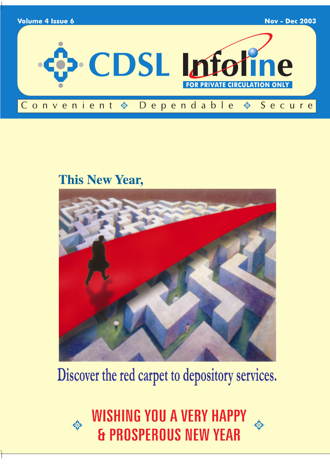

## **This New Year,**



# Discover the red carpet to depository services.

WISHING YOU A VERY HAPPY<br>& PROSPEROUS NEW YEAR

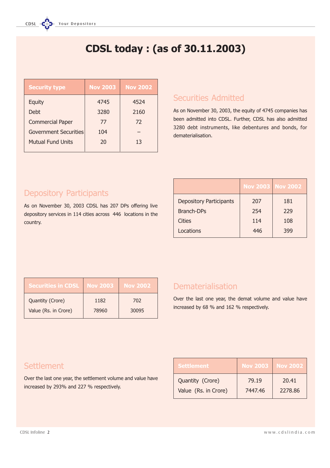## CDSL today : (as of 30.11.2003)

| <b>Security type</b>         | <b>Nov 2003</b> | <b>Nov 2002</b> |
|------------------------------|-----------------|-----------------|
| <b>Equity</b>                | 4745            | 4524            |
| Debt                         | 3280            | 2160            |
| <b>Commercial Paper</b>      | 77              | 72              |
| <b>Government Securities</b> | 104             |                 |
| <b>Mutual Fund Units</b>     | 20              | 13              |
|                              |                 |                 |

### Securities Admitted

As on November 30, 2003, the equity of 4745 companies has been admitted into CDSL. Further, CDSL has also admitted 3280 debt instruments, like debentures and bonds, for dematerialisation.

### Depository Participants

As on November 30, 2003 CDSL has 207 DPs offering live depository services in 114 cities across 446 locations in the country.

|                                | <b>Nov 2003 Nov 2002</b> |     |
|--------------------------------|--------------------------|-----|
| <b>Depository Participants</b> | 207                      | 181 |
| <b>Branch-DPs</b>              | 254                      | 229 |
| Cities                         | 114                      | 108 |
| Locations                      | 446                      | 399 |

| <b>Securities in CDSL</b> | <b>Nov 2003</b> | <b>Nov 2002</b> |
|---------------------------|-----------------|-----------------|
| Quantity (Crore)          | 1182            | 702             |
| Value (Rs. in Crore)      | 78960           | 30095           |

### Dematerialisation

Over the last one year, the demat volume and value have increased by 68 % and 162 % respectively.

### **Settlement**

Over the last one year, the settlement volume and value have increased by 293% and 227 % respectively.

| <b>Settlement</b>    | <b>Nov 2003</b> | <b>Nov 2002</b> |
|----------------------|-----------------|-----------------|
| Quantity (Crore)     | 79.19           | 20.41           |
| Value (Rs. in Crore) | 7447.46         | 2278.86         |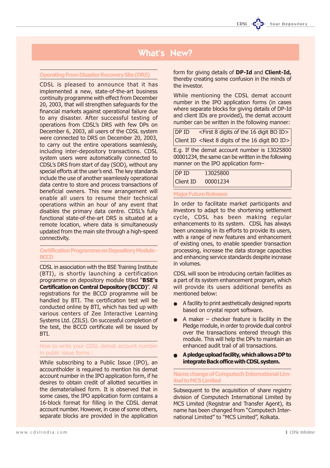### What's New?

### Operating From Disaster Recovery Site (DRS)

CDSL is pleased to announce that it has implemented a new, state-of-the-art business continuity programme with effect from December 20, 2003, that will strengthen safeguards for the financial markets against operational failure due to any disaster. After successful testing of operations from CDSL's DRS with few DPs on December 6, 2003, all users of the CDSL system were connected to DRS on December 20, 2003, to carry out the entire operations seamlessly, including inter-depository transactions. CDSL system users were automatically connected to CDSL's DRS from start of day (SOD), without any special efforts at the user's end. The key standards include the use of another seamlessly operational data centre to store and process transactions of beneficial owners. This new arrangement will enable all users to resume their technical operations within an hour of any event that disables the primary data centre. CDSL's fully functional state-of-the-art DRS is situated at a remote location, where data is simultaneously updated from the main site through a high-speed connectivity.

### Certification Programme on Depository Module - **BCCD**

CDSL in association with the BSE Training Institute (BTI), is shortly launching a certification programme on depository module titled "BSE's Certification on Central Depository (BCCD)". All registrations for the BCCD programme will be handled by BTI. The certification test will be conducted online by BTI, which has tied up with various centers of Zee Interactive Learning Systems Ltd. (ZILS). On successful completion of the test, the BCCD certificate will be issued by BTI.

### How to write your CDSL demat account number in public issue forms :

While subscribing to a Public Issue (IPO), an accountholder is required to mention his demat account number in the IPO application form, if he desires to obtain credit of allotted securities in the dematerialised form. It is observed that in some cases, the IPO application form contains a 16-block format for filling in the CDSL demat account number. However, in case of some others, separate blocks are provided in the application form for giving details of **DP-Id** and **Client-Id**, thereby creating some confusion in the minds of the investor.

While mentioning the CDSL demat account number in the IPO application forms (in cases where separate blocks for giving details of DP-Id and client IDs are provided), the demat account number can be written in the following manner:

| DP ID | <first 16="" 8="" bo="" digit="" digits="" id="" of="" the=""></first>         |
|-------|--------------------------------------------------------------------------------|
|       | Client ID <next 16="" 8="" bo="" digit="" digits="" id="" of="" the=""></next> |

E.g. If the demat account number is 13025800 00001234, the same can be written in the following manner on the IPO application form

| DP ID     | 13025800 |  |
|-----------|----------|--|
| Client ID | 00001234 |  |

#### **Major Future Rele**

In order to facilitate market participants and investors to adapt to the shortening settlement cycle, CDSL has been making regular enhancements to its system. CDSL has always been unceasing in its efforts to provide its users, with a range of new features and enhancement of existing ones, to enable speedier transaction processing, increase the data storage capacities and enhancing service standards despite increase in volumes.

CDSL will soon be introducing certain facilities as a part of its system enhancement program, which will provide its users additional benefits as mentioned below:

- A facility to print aesthetically designed reports based on crystal report software.
- $\bullet$  A maker checker feature is facility in the Pledge module, in order to provide dual control over the transactions entered through this module. This will help the DPs to maintain an enhanced audit trail of all transactions.
- A pledge upload facility, which allows a DP to integrate Back office with CDSL system.

Name change of Computech International Limited to MCS Limited

Subsequent to the acquisition of share registry division of Computech International Limited by MCS Limited (Registrar and Transfer Agent), its name has been changed from "Computech International Limited" to "MCS Limited", Kolkata.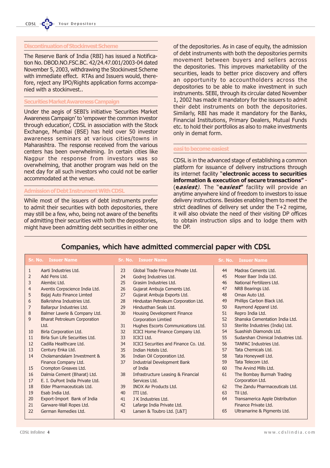### Discontinuation of Stockinvest Scheme

The Reserve Bank of India (RBI) has issued a Notification No. DBOD.NO.FSC.BC. 42/24.47.001/2003-04 dated November 5, 2003, withdrawing the Stockinvest Scheme with immediate effect. RTAs and Issuers would, therefore, reject any IPO/Rights application forms accompanied with a stockinvest..

### Securities Market Awareness Campaign

Under the aegis of SEBI's initiative 'Securities Market Awareness Campaign' to 'empower the common investor through education', CDSL in association with the Stock Exchange, Mumbai (BSE) has held over 50 investor awareness seminars at various cities/towns in Maharashtra. The response received from the various centers has been overwhelming. In certain cities like Nagpur the response from investors was so overwhelming, that another program was held on the next day for all such investors who could not be earlier accommodated at the venue.

### Admission of Debt Instrument With CDSL

While most of the issuers of debt instruments prefer to admit their securities with both depositories, there may still be a few, who, being not aware of the benefits of admitting their securities with both the depositories, might have been admitting debt securities in either one

of the depositories. As in case of equity, the admission of debt instruments with both the depositories permits movement between buyers and sellers across the depositories. This improves marketability of the securities, leads to better price discovery and offers an opportunity to accountholders across the depositories to be able to make investment in such instruments. SEBI, through its circular dated November 1, 2002 has made it mandatory for the issuers to admit their debt instruments on both the depositories. Similarly, RBI has made it mandatory for the Banks, Financial Institutions, Primary Dealers, Mutual Funds etc. to hold their portfolios as also to make investments only in demat form.

#### easi to become easiest

CDSL is in the advanced stage of establishing a common platform for issuance of delivery instructions through its internet facility "electronic access to securities information & execution of secure transactions" -(easiest). The "easiest" facility will provide an anytime anywhere kind of freedom to investors to issue delivery instructions. Besides enabling them to meet the strict deadlines of delivery set under the T+2 regime, it will also obviate the need of their visiting DP offices to obtain instruction slips and to lodge them with the DP.

### Companies, which have admitted commercial paper with CDSL

| <b>Sr. No. Issuer Name</b> |                                     |    | <b>Sr. No. Issuer Name</b>                   |    | <b>Sr. No. Issuer Name</b>         |
|----------------------------|-------------------------------------|----|----------------------------------------------|----|------------------------------------|
| 1                          | Aarti Industries Ltd.               | 23 | Global Trade Finance Private Ltd.            | 44 | Madras Cements Ltd.                |
| 2                          | Add Pens Ltd.                       | 24 | Godrej Industries Ltd.                       | 45 | Moser Baer India Ltd.              |
| 3                          | Alembic Ltd.                        | 25 | Grasim Industries Ltd.                       | 46 | National Fertilizers Ltd.          |
| $\overline{4}$             | Aventis Corpscience India Ltd.      | 26 | Gujarat Ambuja Cements Ltd.                  | 47 | NRB Bearings Ltd.                  |
| 5                          | Bajaj Auto Finance Limted           | 27 | Gujarat Ambuja Exports Ltd.                  | 48 | Omax Auto Ltd.                     |
| 6                          | Balkrishna Industries Ltd.          | 28 | Hindustan Petroleum Corporation Ltd.         | 49 | Phillips Carbon Black Ltd.         |
| 7                          | Ballarpur Industries Ltd.           | 29 | Hindusthan Seals Ltd.                        | 50 | Raymond Apparel Ltd.               |
| 8                          | Balmer Lawrie & Company Ltd.        | 30 | Housing Development Finance                  | 51 | Repro India Ltd.                   |
| 9                          | <b>Bharat Petroleum Corporation</b> |    | <b>Corporation Limtied</b>                   | 52 | Shanska Cementation India Ltd.     |
|                            | Ltd.                                | 31 | Hughes Escorts Communications Ltd.           | 53 | Sterlite Industries (India) Ltd.   |
| 10                         | Birla Corporation Ltd.              | 32 | ICICI Home Finance Company Ltd.              | 54 | Suashish Diamonds Ltd.             |
| 11                         | Birla Sun Life Securities Ltd.      | 33 | <b>ICICI Ltd.</b>                            | 55 | Sudarshan Chimical Industries Ltd. |
| 12                         | Cadilla Healthcare Ltd.             | 34 | <b>ICICI Securities and Finance Co. Ltd.</b> | 56 | <b>TANFAC Industries Ltd.</b>      |
| 13                         | Century Enka Ltd.                   | 35 | Indian Hotels Ltd.                           | 57 | Tata Chemicals Ltd.                |
| 14                         | Cholamandalam Investment &          | 36 | Indian Oil Corporation Ltd.                  | 58 | Tata Honeywell Ltd.                |
|                            | Finance Company Ltd.                | 37 | <b>Industrial Development Bank</b>           | 59 | Tata Telecom Ltd.                  |
| 15                         | Crompton Greaves Ltd.               |    | of India                                     | 60 | The Arvind Mills Ltd.              |
| 16                         | Dalmia Cement (Bharat) Ltd.         | 38 | Infrastructure Leasing & Financial           | 61 | The Bombay Burmah Trading          |
| 17                         | E. I. DuPont India Private Ltd.     |    | Services Ltd.                                |    | Corporation Ltd.                   |
| 18                         | Elder Pharmaceuticals Ltd.          | 39 | <b>INOX Air Products Ltd.</b>                | 62 | The Zandu Pharmaceuticals Ltd.     |
| 19                         | Esab India Ltd.                     | 40 | ITI Ltd.                                     | 63 | Til Ltd.                           |
| 20                         | Export-Import Bank of India         | 41 | J K Industries Ltd.                          | 64 | Transamerica Apple Distribution    |
| 21                         | Garware-Wall Ropes Ltd.             | 42 | Lafarge India Private Ltd.                   |    | Finance Private Ltd.               |
| 22                         | German Remedies Ltd.                | 43 | Larsen & Toubro Ltd. [L&T]                   | 65 | Ultramarine & Pigments Ltd.        |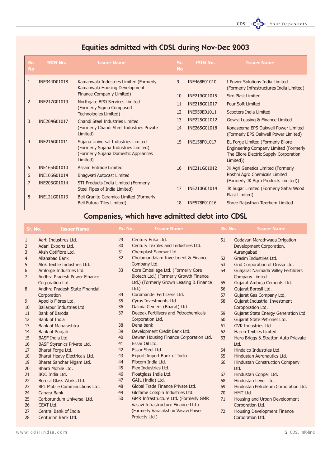CDSL COD Your Depositor

### Equities admitted with CDSL during Nov-Dec 2003

| Sr.<br><b>No</b> | <b>ISIN No.</b> | <b>Issuer Name</b>                                                                                                              | Sr.<br><b>No</b> | <b>ISIN No.</b> | <b>Issuer Name</b>                                                                                                                |
|------------------|-----------------|---------------------------------------------------------------------------------------------------------------------------------|------------------|-----------------|-----------------------------------------------------------------------------------------------------------------------------------|
|                  | INE344D01018    | Kamanwala Industries Limited (Formerly<br>Kamanwala Housing Development                                                         | 9                | INE468F01010    | I Power Solutions India Limited<br>(Formerly Infrastructures India Limited)                                                       |
|                  |                 | Finance Compan y Limited)                                                                                                       | 10               | INE219G01015    | Siro Plast Limited                                                                                                                |
| 2                | INE217G01019    | Northgate BPO Services Limited<br>(Formerly Sigma Compusoft                                                                     | 11               | INE218G01017    | <b>Four Soft Limited</b>                                                                                                          |
|                  |                 | Technologies Limited)                                                                                                           | 12               | INE959E01011    | Scooters India Limited                                                                                                            |
| 3                | INE204G01017    | Chandi Steel Industries Limited                                                                                                 | 13               | INE225G01012    | Gowra Leasing & Finance Limited                                                                                                   |
|                  |                 | (Formerly Chandi Steel Industries Private<br>Limited)                                                                           | 14               | INE265G01018    | Konaseema EPS Oakwell Power Limited<br>(Formerly EPS Oakwell Power Limited)                                                       |
| $\overline{4}$   | INE216G01011    | Sujana Universal Industries Limited<br>(Formerly Sujana Industries Limited)<br>(Formerly Sujana Domestic Appliances<br>Limited) | 15               | INE158F01017    | EL Forge Limited (Formerly Ellore<br>Engineering Company Limited (Formerly<br>The Ellore Electric Supply Corporation<br>Limited)) |
| 5                | INE165G01010    | <b>Assam Entrade Limited</b>                                                                                                    | 16               | INE211G01012    | JK Agri Genetics Limited (Formerly                                                                                                |
| 6                | INE106G01014    | Bhagwati Autocast Limited                                                                                                       |                  |                 | Roshni Agro Chemicals Limited                                                                                                     |
| 7                | INE205G01014    | STI Products India Limited (Formerly                                                                                            |                  |                 | (Formerly JK Agro Products Limited))                                                                                              |
|                  |                 | Steel Pipes of India Limited)                                                                                                   | 17               | INE210G01014    | JK Sugar Limited (Formerly Sahai Wood<br>Plast Limited)                                                                           |
| 8                | INE121G01013    | Bell Granito Ceramica Limited (Formerly<br>Bell Futura Tiles Limited)                                                           | 18               | INE578F01016    | Shree Rajasthan Texchem Limited                                                                                                   |

## Companies, which have admitted debt into CDSL

| Sr. No.             | <b>Issuer Name</b>                    | Sr. No.  | <b>Issuer Name</b>                                        | Sr. No. | <b>Issuer Name</b>                                                     |
|---------------------|---------------------------------------|----------|-----------------------------------------------------------|---------|------------------------------------------------------------------------|
| $\mathbf{1}$        | Aarti Industires Ltd.                 | 29<br>30 | Century Enka Ltd.<br>Century Textiles and Industries Ltd. | 51      | Godavari Marathwada Irrigation                                         |
| $\overline{2}$      | Adani Exports Ltd.                    | 31       | Chemplast Sanmar Ltd.                                     |         | Development Corporation,                                               |
| 3                   | Aksh Optifibre Ltd.<br>Allahabad Bank | 32       | Cholamandalam Investment & Finance                        | 52      | Aurangabad<br>Grasim Industries Ltd.                                   |
| $\overline{4}$<br>5 | Alok Textile Industries Ltd.          |          | Company Ltd.                                              | 53      |                                                                        |
| 6                   | Amforge Industries Ltd.               | 33       | Core Emballage Ltd. (Formerly Core                        | 54      | Grid Corporation of Orissa Ltd.<br>Guajarat Narmada Valley Fertilizers |
| $\overline{7}$      | Andhra Pradesh Power Finance          |          | Biotech Ltd.) (Formerly Growth Finance                    |         | <b>Company Limted</b>                                                  |
|                     | Corporation Ltd.                      |          | Ltd.) (Formerly Growh Leasing & Finance                   | 55      | Gujarat Ambuja Cements Ltd.                                            |
| 8                   | Andhra Pradesh State Financial        |          | $Ltd.$ )                                                  | 56      | Gujarat Borosil Ltd.                                                   |
|                     | Corporation                           | 34       | Coromandel Fertilizers Ltd.                               | 57      | Gujarat Gas Company Ltd.                                               |
| 9                   | Appollo Fibres Ltd.                   | 35       | Cyrus Investments Ltd.                                    | 58      | <b>Gujarat Industrial Investment</b>                                   |
| 10                  | Ballarpur Industries Ltd.             | 36       | Dalmia Cement (Bharat) Ltd.                               |         | Coroporation Ltd.                                                      |
| 11                  | Bank of Baroda                        | 37       | Deepak Fertilisers and Petrochemicals                     | 59      | Gujarat State Energy Generation Ltd.                                   |
| 12                  | <b>Bank of India</b>                  |          | Corporation Ltd.                                          | 60      | Gujarat State Petronet Ltd.                                            |
| 13                  | <b>Bank of Maharashtra</b>            | 38       | Dena bank                                                 | 61      | GVK Industries Ltd.                                                    |
| 14                  | Bank of Punjab                        | 39       | Development Credit Bank Ltd.                              | 62      | <b>Haren Textiles Limted</b>                                           |
| 15                  | BASF India Ltd.                       | 40       | Dewan Housing Finance Corporation Ltd.                    | 63      | Hero Briggs & Stratton Auto Priavate                                   |
| 16                  | BASF Styrenics Private Ltd.           | 41       | Essar Oil Ltd.                                            |         | Ltd.                                                                   |
| 17                  | Bharat Forge Ltd.                     | 42       | Essar Steel Ltd.                                          | 64      | Hindalco Industries Ltd.                                               |
| 18                  | Bharat Heavy Electricals Ltd.         | 43       | Export-Import Bank of India                               | 65      | Hindustan Aeronautics Ltd.                                             |
| 19                  | Bharat Sanchar Nigam Ltd.             | 44       | Fibcom India Ltd.                                         | 66      | <b>Hindustan Construction Company</b>                                  |
| 20                  | Bharti Mobile Ltd.                    | 45       | Flex Industries Ltd.                                      |         | Ltd.                                                                   |
| 21                  | BOC India Ltd.                        | 46       | Floatglass India Ltd.                                     | 67      | Hindustan Copper Ltd.                                                  |
| 22                  | Borosil Glass Works Ltd.              | 47       | GAIL (India) Ltd.                                         | 68      | Hindustan Lever Ltd.                                                   |
| 23                  | <b>BPL Mobile Comminuctions Ltd.</b>  | 48       | Global Trade Finance Private Ltd.                         | 69      | Hindustan Petroleum Corporation Ltd.                                   |
| 24                  | Canara Bank                           | 49       | Glofame Cotspin Industries Ltd.                           | 70      | HMT Ltd.                                                               |
| 25                  | Carborundum Universal Ltd.            | 50       | GMR Infrastructure Ltd. (Formerly GMR                     | 71      | Housing and Urban Development                                          |
| 26                  | CEAT Ltd.                             |          | Vasavi Infrastructure Finance Ltd.)                       |         | Corporation Ltd.                                                       |
| 27                  | Central Bank of India                 |          | (Formerly Varalakshmi Vasavi Power                        | 72      | Housing Development Finance                                            |
| 28                  | Centurion Bank Ltd.                   |          | Projects Ltd.)                                            |         | Corporation Ltd.                                                       |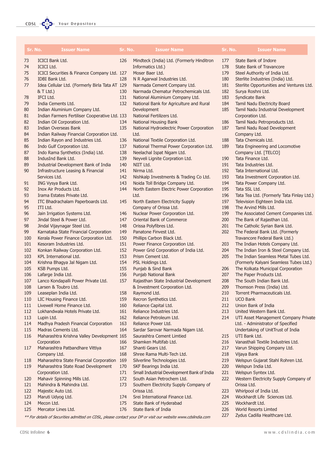| Sr. No.    | <b>Issuer Name</b>                                                            | Sr. No.    | <b>Issuer Name</b>                                                      | Sr. No.    | <b>Issuer Name</b>                                                       |
|------------|-------------------------------------------------------------------------------|------------|-------------------------------------------------------------------------|------------|--------------------------------------------------------------------------|
| 73         | ICICI Bank Ltd.                                                               | 126        | Mindteck (India) Ltd. (Formerly Hinditron                               | 177        | State Bank of Indore                                                     |
| 74         | <b>ICICI Ltd.</b>                                                             |            | Informatics Ltd.)                                                       | 178        | <b>State Bank of Travancore</b>                                          |
| 75         | ICICI Securities & Finance Company Ltd. 127                                   |            | Moser Baer Ltd.                                                         | 179        | Steel Authority of India Ltd.                                            |
| 76         | IDBI Bank Ltd.                                                                | 128        | N R Agarwal Industries Ltd.                                             | 180        | Sterlite Industries (India) Ltd.                                         |
| 77         | Idea Cellular Ltd. (Formerly Birla Tata AT 129                                |            | Narmada Cement Company Ltd.                                             | 181        | Sterlite Opportunities and Ventures Ltd.                                 |
|            | & T Ltd.)                                                                     | 130        | Narmada Chematur Petrochemicals Ltd.                                    | 182        | Surya Roshni Ltd.                                                        |
| 78<br>79   | IFCI Ltd.<br>India Cements Ltd.                                               | 131<br>132 | National Aluminium Company Ltd.                                         | 183        | Syndicate Bank                                                           |
| 80         | Indian Aluminium Company Ltd.                                                 |            | National Bank for Agriculture and Rural<br>Development                  | 184<br>185 | <b>Tamil Nadu Electricity Board</b><br>Tamil Nadu Industrial Development |
| 81         | Indian Farmers Fertiliser Cooperative Ltd. 133                                |            | National Fertilizers Ltd.                                               |            | Corporation Ltd.                                                         |
| 82         | Indian Oil Corporation Ltd.                                                   | 134        | National Housing Bank                                                   | 186        | Tamil Nadu Petroproducts Ltd.                                            |
| 83         | <b>Indian Overseas Bank</b>                                                   | 135        | National Hydroelectric Power Corporation                                | 187        | Tamil Nadu Road Development                                              |
| 84         | Indian Railway Financial Corporation Ltd.                                     |            | Ltd.                                                                    |            | Company Ltd.                                                             |
| 85         | Indian Rayon and Industries Ltd.                                              | 136        | National Textile Corporation Ltd.                                       | 188        | Tata Chemicals Ltd.                                                      |
| 86         | Indo Gulf Corporation Ltd.                                                    | 137        | National Thermal Power Corporation Ltd.                                 | 189        | Tata Engineering and Locomotive                                          |
| 87         | Indo Rama Synthetics (India) Ltd.                                             | 138        | Neelachal Ispat Nigam Ltd.                                              |            | Company Ltd. [TELCO]                                                     |
| 88         | IndusInd Bank Ltd.                                                            | 139        | Neyveli Lignite Corpration Ltd.                                         | 190        | Tata Finance Ltd.                                                        |
| 89         | Industrial Development Bank of India                                          | 140        | NIIT Ltd.                                                               | 191        | Tata Industries Ltd.                                                     |
| 90         | <b>Infrastructure Leasing &amp; Financial</b>                                 | 141        | Nirma Ltd.                                                              | 192        | Tata International Ltd.                                                  |
|            | Services Ltd.                                                                 | 142        | Nishkalp Investments & Trading Co Ltd.                                  | 193        | Tata Investment Corporation Ltd.                                         |
| 91         | ING Vysya Bank Ltd.                                                           | 143        | Noida Toll Bridge Company Ltd.                                          | 194        | Tata Power Company Ltd.                                                  |
| 92<br>93   | Inox Air Products Ltd.<br>Irama Estates Private Ltd.                          | 144        | North Eastern Electric Power Corporation<br>Ltd.                        | 195<br>196 | Tata SSL Ltd.<br>Tata Tea Ltd. (Formerly Tata Finlay Ltd.)               |
| 94         | ITC Bhadrachalam Paperboards Ltd.                                             | 145        | North Eastern Electricity Supply                                        | 197        | Television Eighteen India Ltd.                                           |
| 95         | ITI Ltd.                                                                      |            | Company of Orissa Ltd.                                                  | 198        | The Arvind Mills Ltd.                                                    |
| 96         | Jain Irrigation Systems Ltd.                                                  | 146        | Nuclear Power Corporation Ltd.                                          | 199        | The Associated Cement Companies Ltd.                                     |
| 97         | Jindal Steel & Power Ltd.                                                     | 147        | Oriental Bank of Commerce                                               | 200        | The Bank of Rajasthan Ltd.                                               |
| 98         | Jindal Vijaynagar Steel Ltd.                                                  | 148        | Orissa Polyfibres Ltd.                                                  | 201        | The Catholic Syrian Bank Ltd.                                            |
| 99         | Karnataka State Financial Corporation                                         | 149        | Panatone Finvest Ltd.                                                   | 202        | The Federal Bank Ltd. (Formerly                                          |
| 100        | Kerala Power Finance Corporation Ltd.                                         | 150        | Phillips Carbon Black Ltd.                                              |            | Travancore Federal Bank Ltd.)                                            |
| 101        | Kesoram Industries Ltd.                                                       | 151        | Power Finance Corporation Ltd.                                          | 203        | The Indian Hotels Company Ltd.                                           |
| 102        | Konkan Railway Corporation Ltd.                                               | 152        | Power Grid Corporation of India Ltd.                                    | 204        | The Indian Iron & Steel Company Ltd.                                     |
| 103        | KPL International Ltd.                                                        | 153        | Prism Cement Ltd.                                                       | 205        | The Indian Seamless Metal Tubes Ltd.                                     |
| 104        | Krishna Bhagya Jal Nigam Ltd.                                                 | 154        | PSL Holdings Ltd.                                                       |            | (Formerly Kalyani Seamless Tubes Ltd.)                                   |
| 105        | KSB Pumps Ltd.                                                                | 155        | Punjab & Sind Bank                                                      | 206        | The Kolkata Municipal Corporation                                        |
| 106<br>107 | Lafarge India Ltd.<br>Lanco Kondapalli Power Private Ltd.                     | 156<br>157 | Punjab National Bank                                                    | 207<br>208 | The Paper Products Ltd.<br>The South Indian Bank Ltd.                    |
| 108        | Larsen & Toubro Ltd.                                                          |            | Rajasthan State Industrial Development<br>& Investment Corporation Ltd. | 209        | Thomson Press (India) Ltd.                                               |
| 109        | Leaseplan India Ltd.                                                          | 158        | Raymond Ltd.                                                            | 210        | Torrent Pharmaceuticals Ltd.                                             |
| 110        | LIC Housing Finance Ltd.                                                      | 159        | Recron Synthetics Ltd.                                                  | 211        | <b>UCO Bank</b>                                                          |
| 111        | Livewell Home Finance Ltd.                                                    | 160        | Reliance Capital Ltd.                                                   | 212        | Union Bank of India                                                      |
| 112        | Lokhandwala Hotels Private Ltd.                                               | 161        | Reliance Industries Ltd.                                                | 213        | United Western Bank Ltd.                                                 |
| 113        | Lupin Ltd.                                                                    | 162        | Reliance Petroleum Ltd.                                                 | 214        | UTI Asset Management Company Private                                     |
| 114        | Madhya Pradesh Financial Corporation                                          | 163        | Reliance Power Ltd.                                                     |            | Ltd. - Administrator of Specified                                        |
| 115        | Madras Cements Ltd.                                                           | 164        | Sardar Sarovar Narmada Nigam Ltd.                                       |            | Undertaking of UnitTrust of India                                        |
| 116        | Maharashtra Krishna Valley Development 165                                    |            | Saurashtra Cement Limtied                                               | 215        | UTI Bank Ltd.                                                            |
|            | Corporation                                                                   | 166        | Shamken Multifab Ltd.                                                   | 216        | Vanasthali Textile Industries Ltd.                                       |
| 117        | Maharashtra Patbandhare Vittiya                                               | 167        | Shanti Gears Ltd.                                                       | 217        | Varun Shipping Company Ltd.                                              |
|            | Company Ltd.                                                                  | 168        | Shree Rama Multi-Tech Ltd.                                              | 218        | Vijaya Bank                                                              |
| 118<br>119 | Maharashtra State Financial Corporation<br>Maharashtra State Road Development | 169<br>170 | Silverline Technologies Ltd.                                            | 219<br>220 | Welspun Gujarat Stahl Rohren Ltd.<br>Welspun India Ltd.                  |
|            | Corporation Ltd.                                                              | 171        | SKF Bearings India Ltd.<br>Small Industrial Development Bank of India   | 221        | Welspun Syntex Ltd.                                                      |
| 120        | Mahavir Spinning Mills Ltd.                                                   | 172        | South Asian Petrochem Ltd.                                              | 222        | Western Electricity Supply Company of                                    |
| 121        | Mahindra & Mahindra Ltd.                                                      | 173        | Southern Electricity Supply Company of                                  |            | Orissa Ltd.                                                              |
| 122        | Majestic Auto Ltd.                                                            |            | Orissa Ltd.                                                             | 223        | Whirlpool of India Ltd.                                                  |
| 123        | Maruti Udyog Ltd.                                                             | 174        | Srei International Finance Ltd.                                         | 224        | Wockhardt Life Sciences Ltd.                                             |
| 124        | Mecon Ltd.                                                                    | 175        | State Bank of Hyderabad                                                 | 225        | Wockhardt Ltd.                                                           |
|            |                                                                               |            |                                                                         |            |                                                                          |

176 State Bank of India

\*\* For details of Securities admitted on CDSL, please contact your DP or visit our website www.cdslindia.com

226 World Resorts Limted 227 Zydus Cadilla Healthcare Ltd.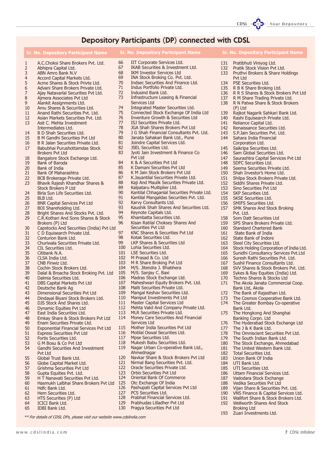### Depository Participants (DP) connected with CDSL

|                | <b>Sr. No. Depository Participant Name</b>                    |            | <b>Sr. No. Depository Participant Name</b>                        |            | <b>Sr. No. Depository Participan</b>                              |
|----------------|---------------------------------------------------------------|------------|-------------------------------------------------------------------|------------|-------------------------------------------------------------------|
| $\mathbf{1}$   | A.C.Choksi Share Brokers Pvt. Ltd.                            | 66         | IIT Corporate Services Ltd.                                       | 131        | Pratibhuti Viniyog Ltd.                                           |
| 2              | Abhipra Capital Ltd.                                          | 67         | IKAB Securities & Investment Ltd.                                 | 132        | Pratik Stock Vision Pvt Ltd.                                      |
| 3              | ABN Amro Bank N.V                                             | 68         | <b>IKM Investor Services Ltd</b>                                  | 133        | Pruthvi Brokers & Share Ho                                        |
| $\overline{a}$ | Accord Capital Markets Ltd.                                   | 69         | INA Stock Broking Co. Pvt. Ltd.                                   |            | Pvt Ltd                                                           |
| 5              | Acme Shares & Stock Privte Ltd.                               | 70         | Indsec Securities And Finance Ltd.                                | 134        | PSE Securities Ltd.                                               |
| 6              | Advani Share Brokers Private Ltd.                             | 71<br>72   | Indus Portfolio Private Ltd.                                      | 135        | R B K Share Broking Ltd.                                          |
| 7              | Ajay Natavarlal Securities Pvt Ltd.                           | 73         | Indusind Bank Ltd.<br>Infrastructure Leasing & Financial          | 136        | R R S Shares & Stock Broke                                        |
| 8<br>9         | Ajmera Associates Pvt Ltd<br>Alankit Assignments Ltd.         |            | Services Ltd                                                      | 137<br>138 | R M Share Trading Private L<br>R N Patwa Share & Stock B          |
| 10             | Amu Shares & Securities Ltd.                                  | 74         | Integrated Master Securities Ltd.                                 |            | (P) Ltd                                                           |
| 11             | Anand Rathi Securities Pvt. Ltd.                              | 75         | Connected Stock Exchange Of India Ltd                             | 139        | Rajkot Nagarik Sahkari Ban                                        |
| 12             | Asian Markets Securities Pvt. Ltd.                            | 76         | Inventure Growth & Securities Ltd                                 | 140        | Rashi Equisearch Private Ltd                                      |
| 13             | Asit C. Mehta Investment                                      | 77         | ISJ Securities Private Ltd.                                       | 141        | Reliance Capital Ltd.                                             |
|                | Intermediates Ltd.                                            | 78         | JGA Shah Shares Brokers Pvt Ltd                                   | 142        | Renaissance Securities Ltd.                                       |
| 14             | B D Shah Securities Ltd.                                      | 79         | J G Shah Financial Consultants Pvt. Ltd.                          | 143        | S.P. Jain Securities Pvt. Ltd.                                    |
| 15             | B M Gandhi Securities Pvt Ltd                                 | 80         | Janata Sahakari Bank Ltd., Pune                                   | 144        | Sahara India Financial                                            |
| 16             | B R Jalan Securities Private Ltd.                             | 81         | Joindre Capital Services Ltd.                                     |            | Corporation Ltd.                                                  |
| 17             | Babubhai Purushottamdas Stock                                 | 82         | <b>JSEL Securities Ltd.</b>                                       | 145        | Saikripa Securities Ltd.                                          |
|                | <b>Brokers Pvt Ltd</b>                                        | 83         | Jyoti Jain Investment & Finance Co                                | 146        | Sam Global Securities Ltd.                                        |
| 18             | Bangalore Stock Exchange Ltd.                                 |            | Pyt Ltd                                                           | 147        | Saurashtra Capital Services                                       |
| 19             | Bank of Baroda                                                | 84<br>85   | K & A Securities Pvt Ltd<br>K Damani Securities Pyt Ltd           | 148        | SDFC Securities Ltd.                                              |
| 20<br>21       | Bank of India                                                 | 86         | K M Jain Stock Brokers Pvt Ltd                                    | 149<br>150 | Seema Securities Private Ltd                                      |
| 22             | Bank Of Maharashtra                                           | 87         | K.Jayantilal Securities Private Ltd.                              | 151        | Shah Investor's Home Ltd.<br>Shilpa Stock Brokers Private         |
| 23             | BCB Brokerage Private Ltd.<br>Bhavik Rajesh Khandhar Shares & | 88         | Kaji And Maulik Securities Private Ltd.                           | 152        | Siddhi Shares Private Ltd.                                        |
|                | <b>Stock Brokers P Ltd</b>                                    | 89         | Kalpataru Multiplier Ltd.                                         | 153        | Sino Securities Pvt Ltd                                           |
| 24             | Birla Sun Life Securities Ltd.                                | 90         | Kantilal Chhaganlal Securities Private Ltd.                       | 154        | <b>SKP Securities Ltd.</b>                                        |
| 25             | BLB Ltd.                                                      | 91         | Kantilal Mangaldas Securities Pvt. Ltd.                           | 155        | <b>SKSE Securities Ltd.</b>                                       |
| 26             | <b>BNR Capital Services Pvt Ltd</b>                           | 92         | Karvy Consultants Ltd.                                            | 156        | <b>SMIFS Securities Ltd.</b>                                      |
| 27             | BOI Shareholding Ltd.                                         | 93         | Kaushik Shah Shares And Securities Ltd.                           | 157        | <b>SMK Shares And Stock Brok</b>                                  |
| 28             | Bright Shares And Stocks Pvt. Ltd.                            | 94         | Keynote Capitals Ltd.                                             |            | Pvt. Ltd.                                                         |
| 29             | C.R.Kothari And Sons Shares & Stock                           | 95         | Khambatta Securities Ltd.                                         | 158        | Som Datt Securities Ltd                                           |
|                | Brokers (P) Ltd                                               | 96         | Kisan Ratilal Choksey Shares And                                  | 159        | SPS Share Brokers Private L                                       |
| 30             | Capstocks And Securities (India) Pvt Ltd                      |            | Securities Pvt Ltd                                                | 160        | <b>Standard Chartered Bank</b>                                    |
| 31             | C D Equisearch Private Ltd.                                   | 97<br>98   | KNC Shares & Securities Pvt Ltd                                   | 161        | State Bank of India                                               |
| 32             | Centurion Bank Ltd.                                           | 99         | Kotak Securities Ltd.<br>LKP Shares & Securities Ltd              | 162        | State Bank of Indore                                              |
| 33<br>34       | Churiwala Securities Private Ltd.<br>CIL Securities Ltd.      | 100        | Lohia Securities Ltd.                                             | 163<br>164 | Steel City Securities Ltd.<br><b>Stock Holding Corporation of</b> |
| 35             | Citibank N.A.                                                 | 101        | <b>LSE Securities Ltd.</b>                                        | 165        | Sunidhi Consultancy Service                                       |
| 36             | CLSA India Ltd.                                               | 102        | M Prasad & Co. Ltd                                                | 166        | Suresh Rathi Securities Pvt.                                      |
| 37             | CNB Finwiz Ltd.                                               | 103        | M R Share Broking Pvt Ltd                                         | 167        | Sushil Finance Consultants                                        |
| 38             | Cochin Stock Brokers Ltd.                                     | 104        | M/S. Jitendra J. Bhabhera                                         | 168        | SVV Shares & Stock Brokers                                        |
| 39             | Dalal & Broacha Stock Broking Pvt. Ltd                        | 105        | M/S. Sanjay C. Baxi                                               | 169        | Sykes & Ray Equities (India                                       |
| 40             | Dalmia Securities Ltd.                                        | 106        | Madras Stock Exchange Ltd.                                        | 170        | Techno Shares & Stocks Ltd                                        |
| 41             | DBS Capital Markets Pvt Ltd                                   | 107        | Maheshwari Equity Brokers Pvt. Ltd.                               | 171        | The Akola Janata Commerc                                          |
| 42             | Deutsche Bank Ag                                              | 108        | Malti Securities Private Ltd.                                     |            | Bank Ltd, Akola                                                   |
| 43             | Dimensional Securities Pvt Ltd                                | 109        | Mangal Keshav Securities Ltd.                                     | 172        | The Bank of Rajasthan Ltd.                                        |
| 44             | Dindayal Biyani Stock Brokers Ltd.                            | 110<br>111 | Maniput Investments Pvt Ltd<br><b>Master Capital Services Ltd</b> | 173        | The Cosmos Cooperative Ba                                         |
| 45             | DJS Stock And Shares Ltd.<br>Dynamic Equities Pvt Ltd         | 112        | Mehta Vakil And Company Private Ltd.                              | 174        | The Greater Bombay Co-op<br>Bank Ltd.                             |
| 46<br>47       | East India Securities Ltd.                                    | 113        | MLR Securities Private Ltd.                                       | 175        | The Hongkong And Shangh                                           |
| 48             | Emkay Share & Stock Brokers Pvt Ltd                           | 114        | Money Care Securities And Financial                               |            | Banking Corpn. Ltd                                                |
| 49             | Enam Securities Private Ltd.                                  |            | Services Ltd                                                      | 176        | The Hyderabad Stock Excha                                         |
| 50             | <b>Exponential Financial Services Pvt Ltd</b>                 | 115        | Mother India Securities Pvt Ltd                                   | 177        | The J & K Bank Ltd.                                               |
| 51             | <b>Express Securities Pvt Ltd</b>                             | 116        | Motilal Oswal Securities Ltd.                                     | 178        | The Omniscient Securities F                                       |
| 52             | Fortis Securities Ltd.                                        | 117        | Mpse Securities Ltd.                                              | 179        | The South Indian Bank Ltd.                                        |
| 53             | G M Bosu & Co Pvt Ltd                                         | 118        | Mukesh Babu Securities Ltd.                                       | 180        | The Stock Exchange, Ahme                                          |
| 54             | Gandhi Securities And Investment                              | 119        | Nagar Urban Co-operative Bank Ltd.,                               | 181        | The United Western Bank L                                         |
|                | Pvt Ltd                                                       |            | Ahmednagar                                                        | 182        | Total Securities Ltd.                                             |
| 55             | Global Trust Bank Ltd.                                        | 120        | Navkar Share & Stock Brokers Pvt Ltd                              | 183        | Union Bank Of India                                               |
| 56             | Globe Capital Market Ltd.                                     | 121        | Nirmal Bang Securities Pvt. Ltd.                                  | 184        | UTI Bank Ltd.                                                     |
| 57             | Grishma Securities Pvt Ltd                                    | 122        | Oracle Securities Private Ltd.                                    | 185        | UTI Securities Ltd.                                               |
| 58             | Gupta Equities Pvt. Ltd.                                      | 123<br>124 | Orbis Securities Pvt Ltd                                          | 186        | <b>Uttam Financial Services Ltd</b>                               |
| 59             | H T Nanavati Securities Pvt Ltd.                              | 125        | Oriental Bank Of Commerce                                         | 187        | Vadodara Stock Exchange                                           |
| 60             | Hasmukh Lalbhai Share Brokers Pvt Ltd                         | 126        | Otc Exchange Of India<br>Pashupati Capital Services Pvt Ltd       | 188        | Vedika Securities Pvt Ltd                                         |
| 61<br>62       | Hdfc Bank Ltd.<br>Hem Securities Ltd.                         | 127        | PCS Securities Ltd.                                               | 189<br>190 | Vijan Share & Securities Pvt<br>VNS Finance & Capital Serv        |
| 63             | HTS Securities (P) Ltd                                        | 128        | Prabhat Financial Services Ltd.                                   | 191        | Wallfort Share & Stock Brok                                       |
| 64             | ICICI Bank Ltd.                                               | 129        | Prabhudas Lilladher Pvt Ltd                                       | 192        | Wellworth Shares And Stock                                        |
|                |                                                               |            |                                                                   |            |                                                                   |

130 Pragya Securities Pvt Ltd

- 
- 65 IDBI Bank Ltd.

\*\* For details of CDSL DPs, please visit our website www.cdslindia.com

- Ltd.
- e Holdings
- a.<br>Brokers Pvt Ltd
- ate Ltd.
- ck Brokers
- - Bank Ltd.
	- te Ltd.
	-
	- Ltd.<br>Ltd.
	-
	-
	-
	- *ices Pvt Ltd*
	- te Ltd.
	- Ltd.
	- ivate Ltd<mark>.</mark><br>td.
	-
	- **Broking**
	- ate <mark>Ltd.</mark><br>nk
	-
	-
	- ..<br>ion of India Ltd. 165 Sunidhi Consultancy Services Pvt.Ltd
	- ...............<br>Pvt. Ltd.
	-
	- ants Ltd.
	- okers Pvt. Ltd.
	- India) Ltd.
	- ndia,<br>.s Ltd
	- $\frac{1}{2}$  and Coop.
	- Ltd.
	- ve Bank Ltd. ne Banne Eco.<br>o-operative
	- anghai
	- Exchange Ltd
	- - ties Pvt Ltd.
		-
		-
		- 180 The Stock Exchange, Ahmedabad
			- nk Ltd.
	-
	- es Ltd.
	-
	-
	- s Pvt. Ltd.
	- s : . . . \_ \_ \_ . .<br>Services Ltd.
	- 191 Wallet Share Brokers Ltd.<br>Stock 192 Wellworth Shares And Stock
	- Broking Ltd
	- 193 Zuari Investments Ltd.

### CDSL COD Your Depository